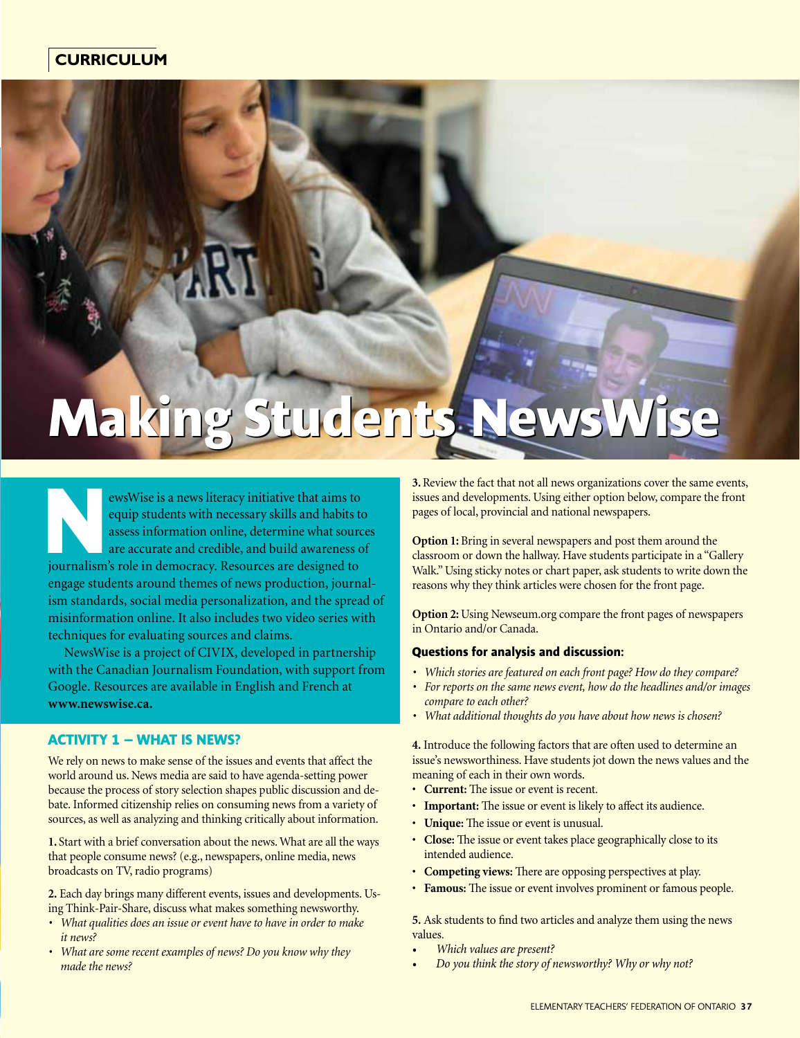# Making Students NewsWise

**NEW ENERGE IS A NEW SERVISE IS A NEW STATE STATE OF A SURFERITE SURFERITE SURFERITE SURFERITE SURFERITE SURFERITE SURFERITE SURFERITE SURFERITE SURFERITE SURFERITE SURFERITE SURFERITE SURFERITE SURFERITE SURFERITE SURFERI** equip students with necessary skills and habits to assess information online, determine what sources are accurate and credible, and build awareness of engage students around themes of news production, journalism standards, social media personalization, and the spread of misinformation online. It also includes two video series with techniques for evaluating sources and claims.

NewsWise is a project of CIVIX, developed in partnership with the Canadian Journalism Foundation, with support from Google. Resources are available in English and French at **www.newswise.ca.** 

## **ACTIVITY 1 – What is News?**

We rely on news to make sense of the issues and events that affect the world around us. News media are said to have agenda-setting power because the process of story selection shapes public discussion and debate. Informed citizenship relies on consuming news from a variety of sources, as well as analyzing and thinking critically about information.

**1.** Start with a brief conversation about the news. What are all the ways that people consume news? (e.g., newspapers, online media, news broadcasts on TV, radio programs)

**2.** Each day brings many different events, issues and developments. Using Think-Pair-Share, discuss what makes something newsworthy.

- *• What qualities does an issue or event have to have in order to make it news?*
- *<i>•* What are some recent examples of news? Do you know why they *made the news?*

**3.** Review the fact that not all news organizations cover the same events, issues and developments. Using either option below, compare the front pages of local, provincial and national newspapers.

**Option 1:** Bring in several newspapers and post them around the classroom or down the hallway. Have students participate in a "Gallery Walk." Using sticky notes or chart paper, ask students to write down the reasons why they think articles were chosen for the front page.

**Option 2:** Using Newseum.org compare the front pages of newspapers in Ontario and/or Canada.

#### **Questions for analysis and discussion:**

- *• Which stories are featured on each front page? How do they compare?*
- *• For reports on the same news event, how do the headlines and/or images compare to each other?*
- *• What additional thoughts do you have about how news is chosen?*

**4.** Introduce the following factors that are often used to determine an issue's newsworthiness. Have students jot down the news values and the meaning of each in their own words.

- **Current:** The issue or event is recent.
- **Important:** The issue or event is likely to affect its audience.
- **Unique:** The issue or event is unusual.
- **Close:** The issue or event takes place geographically close to its intended audience.
- **Competing views:** There are opposing perspectives at play.
- **Famous:** The issue or event involves prominent or famous people.

**5.** Ask students to find two articles and analyze them using the news values.

- *• Which values are present?*
- *• Do you think the story of newsworthy? Why or why not?*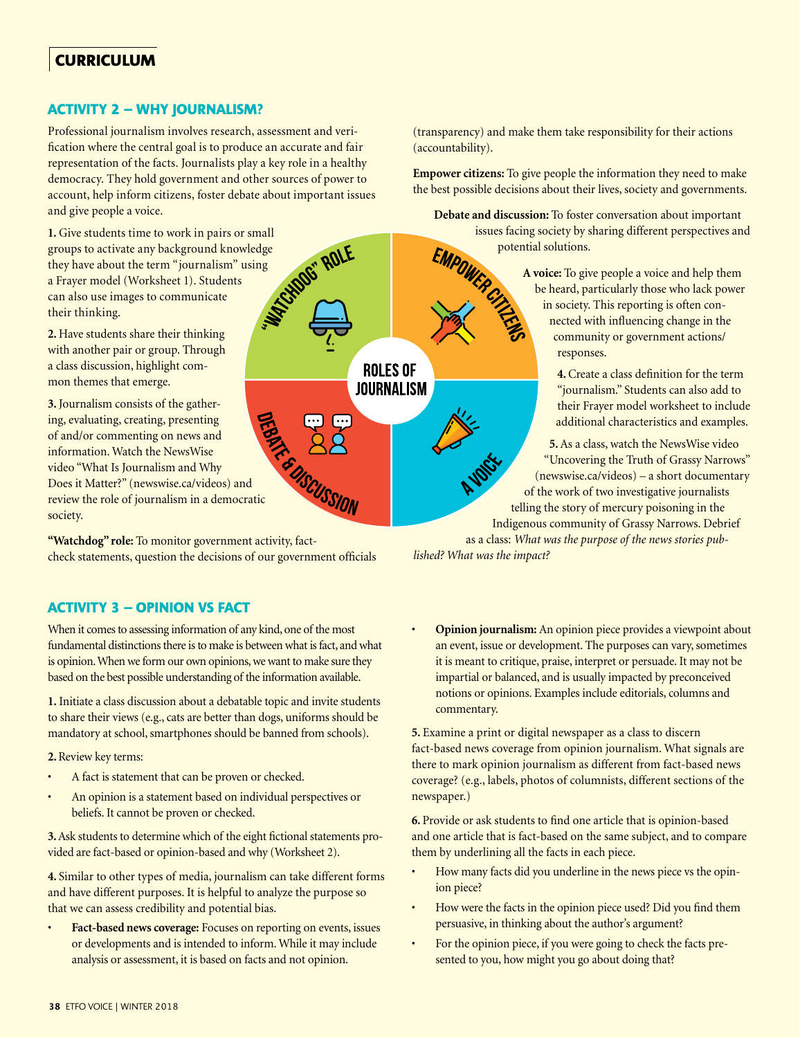# **ACTIVITY 2 – Why journalism?**

Professional journalism involves research, assessment and verification where the central goal is to produce an accurate and fair representation of the facts. Journalists play a key role in a healthy democracy. They hold government and other sources of power to account, help inform citizens, foster debate about important issues and give people a voice.

**1.** Give students time to work in pairs or small<br>groups to activate any background knowledge<br>they have about the term "journalism" using<br>a Frayer model (Worksheet 1). Students<br>can also use images to communications<br>their t groups to activate any background knowledge they have about the term "journalism" using a Frayer model (Worksheet 1). Students can also use images to communicate their thinking.

**2.** Have students share their thinking with another pair or group. Through a class discussion, highlight common themes that emerge.

**3.** Journalism consists of the gathering, evaluating, creating, presenting of and/or commenting on news and information. Watch the NewsWise video "What Is Journalism and Why Does it Matter?" (newswise.ca/videos) and review the role of journalism in a democratic society.

**"Watchdog" role:** To monitor government activity, factcheck statements, question the decisions of our government officials

**ACTIVITY 3 – Opinion vs Fact**

When it comes to assessing information of any kind, one of the most fundamental distinctions there is to make is between what is fact, and what is opinion. When we form our own opinions, we want to make sure they based on the best possible understanding of the information available.

**1.** Initiate a class discussion about a debatable topic and invite students to share their views (e.g., cats are better than dogs, uniforms should be mandatory at school, smartphones should be banned from schools).

#### **2.** Review key terms:

- A fact is statement that can be proven or checked.
- An opinion is a statement based on individual perspectives or beliefs. It cannot be proven or checked.

**3.** Ask students to determine which of the eight fictional statements provided are fact-based or opinion-based and why (Worksheet 2).

**4.** Similar to other types of media, journalism can take different forms and have different purposes. It is helpful to analyze the purpose so that we can assess credibility and potential bias.

• **Fact-based news coverage:** Focuses on reporting on events, issues or developments and is intended to inform. While it may include analysis or assessment, it is based on facts and not opinion.

(transparency) and make them take responsibility for their actions (accountability).

 **Empower citizens:** To give people the information they need to make the best possible decisions about their lives, society and governments.

**Debate and discussion:** To foster conversation about important potential solutions.

issues facing society by sharing different perspectives and<br>potential solutions.<br>A voice: To give people a voice and help them<br>tricularly those who lack power **A voice:** To give people a voice and help them be heard, particularly those who lack power in society. This reporting is often connected with influencing change in the community or government actions/ responses.

> **4.** Create a class definition for the term "journalism." Students can also add to their Frayer model worksheet to include additional characteristics and examples.

**5.** As a class, watch the NewsWise video "Uncovering the Truth of Grassy Narrows" [\(newswise.ca/videos\)](https://www.youtube.com/watch?v=KRW7TpUUUTQ) – a short documentary of the work of two investigative journalists telling the story of mercury poisoning in the Indigenous community of Grassy Narrows. Debrief as a class: *What was the purpose of the news stories pub-*

*lished? What was the impact?*

**ROLES OF JOURNALISM** 

**SCUSSION** 

• **Opinion journalism:** An opinion piece provides a viewpoint about an event, issue or development. The purposes can vary, sometimes it is meant to critique, praise, interpret or persuade. It may not be impartial or balanced, and is usually impacted by preconceived notions or opinions. Examples include editorials, columns and commentary.

**5.** Examine a print or digital newspaper as a class to discern fact-based news coverage from opinion journalism. What signals are there to mark opinion journalism as different from fact-based news coverage? (e.g., labels, photos of columnists, different sections of the newspaper.)

**6.** Provide or ask students to find one article that is opinion-based and one article that is fact-based on the same subject, and to compare them by underlining all the facts in each piece.

- How many facts did you underline in the news piece vs the opinion piece?
- How were the facts in the opinion piece used? Did you find them persuasive, in thinking about the author's argument?
- For the opinion piece, if you were going to check the facts presented to you, how might you go about doing that?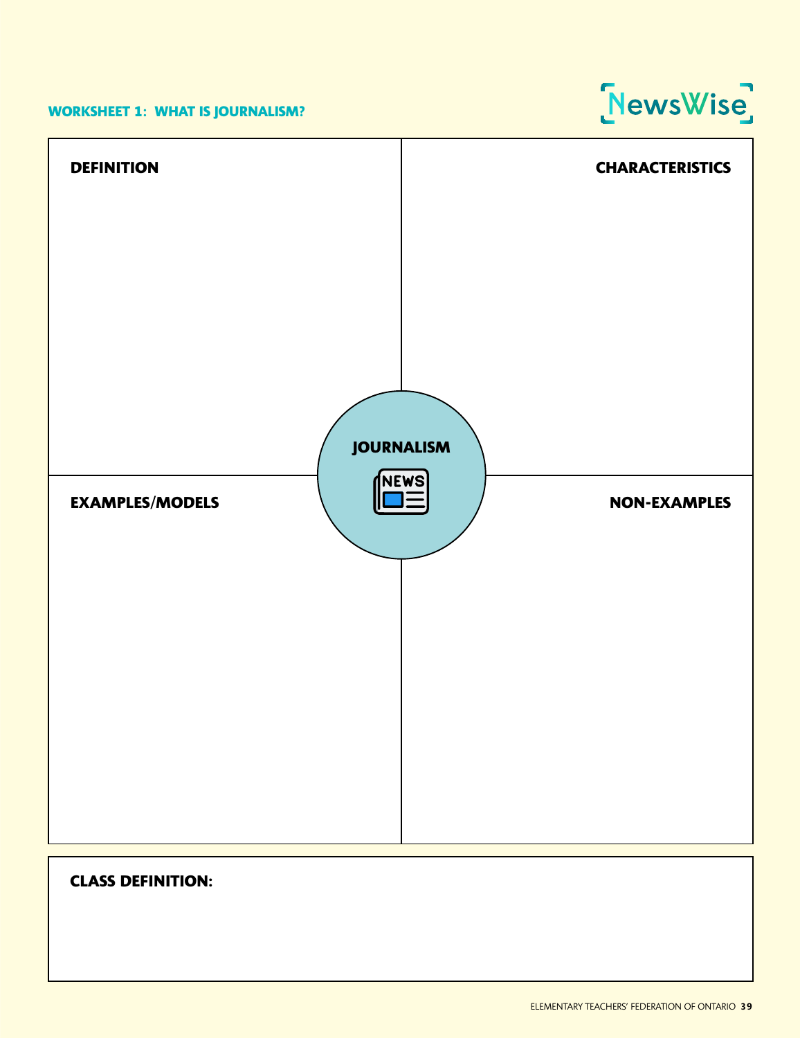## **Worksheet 1: What is Journalism?**





# **CLASS DEFINITION:**